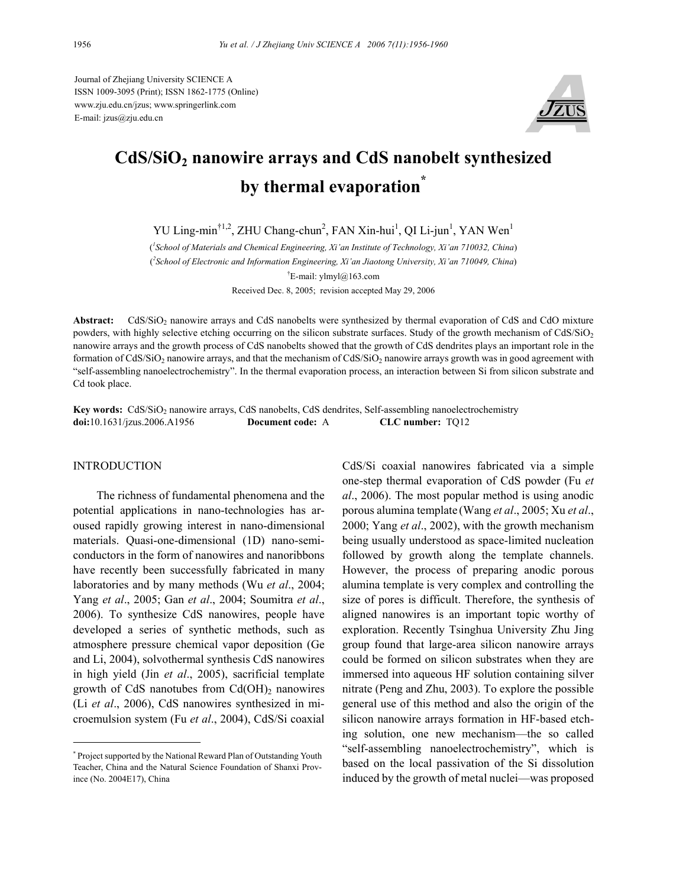Journal of Zhejiang University SCIENCE A ISSN 1009-3095 (Print); ISSN 1862-1775 (Online) www.zju.edu.cn/jzus; www.springerlink.com E-mail: jzus@zju.edu.cn



# **CdS/SiO2 nanowire arrays and CdS nanobelt synthesized**  by thermal evaporation<sup>\*</sup>

YU Ling-min<sup>†1,2</sup>, ZHU Chang-chun<sup>2</sup>, FAN Xin-hui<sup>1</sup>, QI Li-jun<sup>1</sup>, YAN Wen<sup>1</sup>

( *1 School of Materials and Chemical Engineering, Xi'an Institute of Technology, Xi'an 710032, China*) ( *2 School of Electronic and Information Engineering, Xi'an Jiaotong University, Xi'an 710049, China*) † E-mail: ylmyl@163.com Received Dec. 8, 2005; revision accepted May 29, 2006

Abstract: CdS/SiO<sub>2</sub> nanowire arrays and CdS nanobelts were synthesized by thermal evaporation of CdS and CdO mixture powders, with highly selective etching occurring on the silicon substrate surfaces. Study of the growth mechanism of  $CdS/SiO<sub>2</sub>$ nanowire arrays and the growth process of CdS nanobelts showed that the growth of CdS dendrites plays an important role in the formation of CdS/SiO<sub>2</sub> nanowire arrays, and that the mechanism of CdS/SiO<sub>2</sub> nanowire arrays growth was in good agreement with "self-assembling nanoelectrochemistry". In the thermal evaporation process, an interaction between Si from silicon substrate and Cd took place.

**Key words:** CdS/SiO<sub>2</sub> nanowire arrays, CdS nanobelts, CdS dendrites, Self-assembling nanoelectrochemistry **doi:**10.1631/jzus.2006.A1956 **Document code:** A **CLC number:** TQ12

# INTRODUCTION

The richness of fundamental phenomena and the potential applications in nano-technologies has aroused rapidly growing interest in nano-dimensional materials. Quasi-one-dimensional (1D) nano-semiconductors in the form of nanowires and nanoribbons have recently been successfully fabricated in many laboratories and by many methods (Wu *et al*., 2004; Yang *et al*., 2005; Gan *et al*., 2004; Soumitra *et al*., 2006). To synthesize CdS nanowires, people have developed a series of synthetic methods, such as atmosphere pressure chemical vapor deposition (Ge and Li, 2004), solvothermal synthesis CdS nanowires in high yield (Jin *et al*., 2005), sacrificial template growth of CdS nanotubes from  $Cd(OH)_2$  nanowires (Li *et al*., 2006), CdS nanowires synthesized in microemulsion system (Fu *et al*., 2004), CdS/Si coaxial

CdS/Si coaxial nanowires fabricated via a simple one-step thermal evaporation of CdS powder (Fu *et al*., 2006). The most popular method is using anodic porous alumina template (Wang *et al*., 2005; Xu *et al*., 2000; Yang *et al*., 2002), with the growth mechanism being usually understood as space-limited nucleation followed by growth along the template channels. However, the process of preparing anodic porous alumina template is very complex and controlling the size of pores is difficult. Therefore, the synthesis of aligned nanowires is an important topic worthy of exploration. Recently Tsinghua University Zhu Jing group found that large-area silicon nanowire arrays could be formed on silicon substrates when they are immersed into aqueous HF solution containing silver nitrate (Peng and Zhu, 2003). To explore the possible general use of this method and also the origin of the silicon nanowire arrays formation in HF-based etching solution, one new mechanism—the so called "self-assembling nanoelectrochemistry", which is based on the local passivation of the Si dissolution induced by the growth of metal nuclei—was proposed

<sup>\*</sup> Project supported by the National Reward Plan of Outstanding Youth Teacher, China and the Natural Science Foundation of Shanxi Province (No. 2004E17), China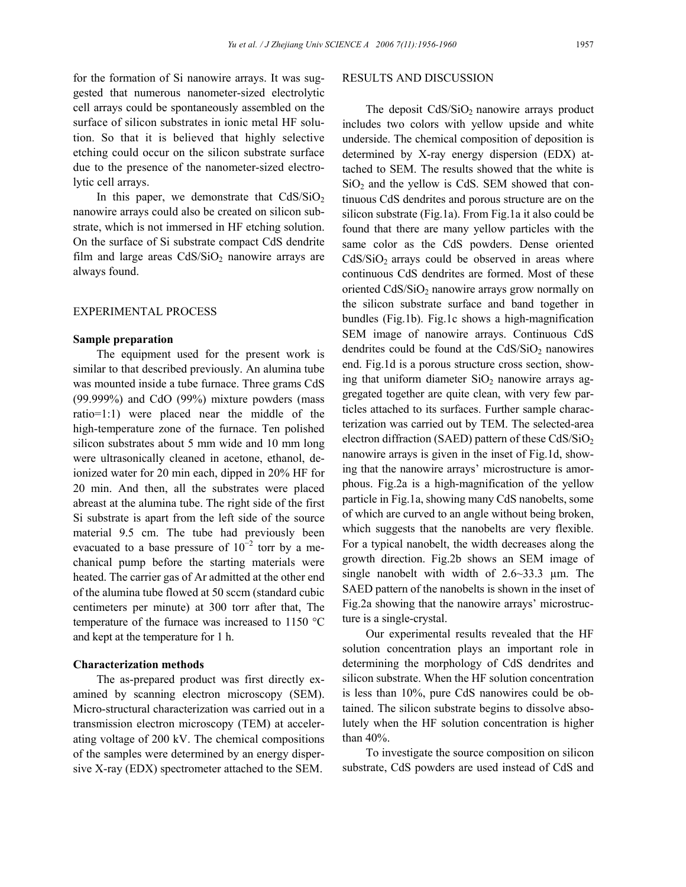for the formation of Si nanowire arrays. It was suggested that numerous nanometer-sized electrolytic cell arrays could be spontaneously assembled on the surface of silicon substrates in ionic metal HF solution. So that it is believed that highly selective etching could occur on the silicon substrate surface due to the presence of the nanometer-sized electrolytic cell arrays.

In this paper, we demonstrate that  $CdS/SiO<sub>2</sub>$ nanowire arrays could also be created on silicon substrate, which is not immersed in HF etching solution. On the surface of Si substrate compact CdS dendrite film and large areas  $CdS/SiO<sub>2</sub>$  nanowire arrays are always found.

# EXPERIMENTAL PROCESS

# **Sample preparation**

The equipment used for the present work is similar to that described previously. An alumina tube was mounted inside a tube furnace. Three grams CdS (99.999%) and CdO (99%) mixture powders (mass ratio=1:1) were placed near the middle of the high-temperature zone of the furnace. Ten polished silicon substrates about 5 mm wide and 10 mm long were ultrasonically cleaned in acetone, ethanol, deionized water for 20 min each, dipped in 20% HF for 20 min. And then, all the substrates were placed abreast at the alumina tube. The right side of the first Si substrate is apart from the left side of the source material 9.5 cm. The tube had previously been evacuated to a base pressure of  $10^{-2}$  torr by a mechanical pump before the starting materials were heated. The carrier gas of Ar admitted at the other end of the alumina tube flowed at 50 sccm (standard cubic centimeters per minute) at 300 torr after that, The temperature of the furnace was increased to 1150 °C and kept at the temperature for 1 h.

#### **Characterization methods**

The as-prepared product was first directly examined by scanning electron microscopy (SEM). Micro-structural characterization was carried out in a transmission electron microscopy (TEM) at accelerating voltage of 200 kV. The chemical compositions of the samples were determined by an energy dispersive X-ray (EDX) spectrometer attached to the SEM.

#### RESULTS AND DISCUSSION

The deposit  $CdS/SiO<sub>2</sub>$  nanowire arrays product includes two colors with yellow upside and white underside. The chemical composition of deposition is determined by X-ray energy dispersion (EDX) attached to SEM. The results showed that the white is  $SiO<sub>2</sub>$  and the yellow is CdS. SEM showed that continuous CdS dendrites and porous structure are on the silicon substrate (Fig.1a). From Fig.1a it also could be found that there are many yellow particles with the same color as the CdS powders. Dense oriented  $CdS/SiO<sub>2</sub>$  arrays could be observed in areas where continuous CdS dendrites are formed. Most of these oriented  $CdS/SiO<sub>2</sub>$  nanowire arrays grow normally on the silicon substrate surface and band together in bundles (Fig.1b). Fig.1c shows a high-magnification SEM image of nanowire arrays. Continuous CdS dendrites could be found at the  $CdS/SiO<sub>2</sub>$  nanowires end. Fig.1d is a porous structure cross section, showing that uniform diameter  $SiO<sub>2</sub>$  nanowire arrays aggregated together are quite clean, with very few particles attached to its surfaces. Further sample characterization was carried out by TEM. The selected-area electron diffraction (SAED) pattern of these  $CdS/SiO<sub>2</sub>$ nanowire arrays is given in the inset of Fig.1d, showing that the nanowire arrays' microstructure is amorphous. Fig.2a is a high-magnification of the yellow particle in Fig.1a, showing many CdS nanobelts, some of which are curved to an angle without being broken, which suggests that the nanobelts are very flexible. For a typical nanobelt, the width decreases along the growth direction. Fig.2b shows an SEM image of single nanobelt with width of  $2.6 \sim 33.3$  µm. The SAED pattern of the nanobelts is shown in the inset of Fig.2a showing that the nanowire arrays' microstructure is a single-crystal.

Our experimental results revealed that the HF solution concentration plays an important role in determining the morphology of CdS dendrites and silicon substrate. When the HF solution concentration is less than 10%, pure CdS nanowires could be obtained. The silicon substrate begins to dissolve absolutely when the HF solution concentration is higher than 40%.

To investigate the source composition on silicon substrate, CdS powders are used instead of CdS and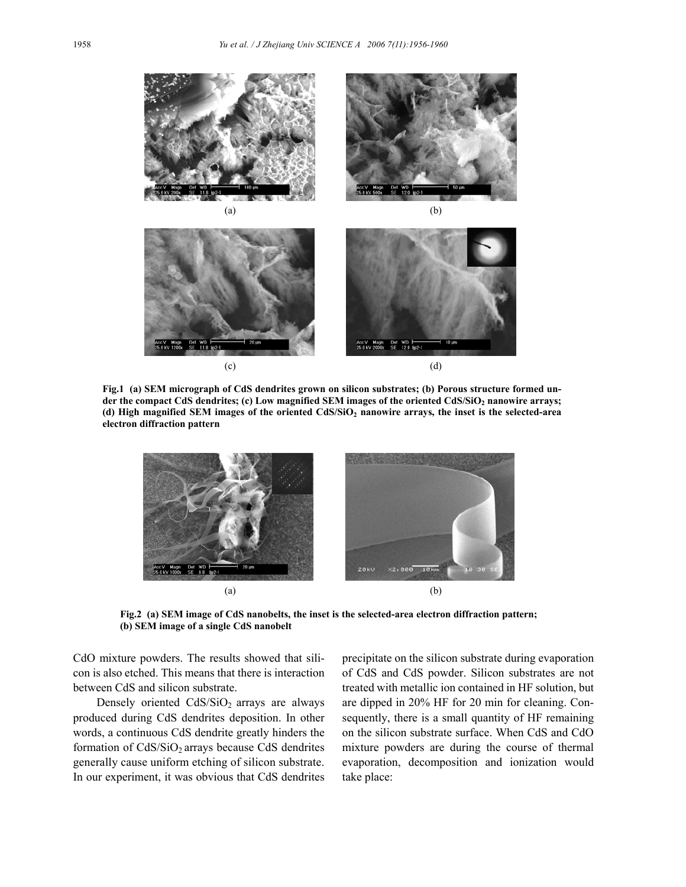

**Fig.1 (a) SEM micrograph of CdS dendrites grown on silicon substrates; (b) Porous structure formed under the compact CdS dendrites; (c) Low magnified SEM images of the oriented CdS/SiO2 nanowire arrays; (d) High magnified SEM images of the oriented CdS/SiO2 nanowire arrays, the inset is the selected-area electron diffraction pattern** 



**Fig.2 (a) SEM image of CdS nanobelts, the inset is the selected-area electron diffraction pattern; (b) SEM image of a single CdS nanobelt** 

CdO mixture powders. The results showed that silicon is also etched. This means that there is interaction between CdS and silicon substrate.

Densely oriented  $CdS/SiO<sub>2</sub>$  arrays are always produced during CdS dendrites deposition. In other words, a continuous CdS dendrite greatly hinders the formation of  $CdS/SiO<sub>2</sub>$  arrays because CdS dendrites generally cause uniform etching of silicon substrate. In our experiment, it was obvious that CdS dendrites precipitate on the silicon substrate during evaporation of CdS and CdS powder. Silicon substrates are not treated with metallic ion contained in HF solution, but are dipped in 20% HF for 20 min for cleaning. Consequently, there is a small quantity of HF remaining on the silicon substrate surface. When CdS and CdO mixture powders are during the course of thermal evaporation, decomposition and ionization would take place: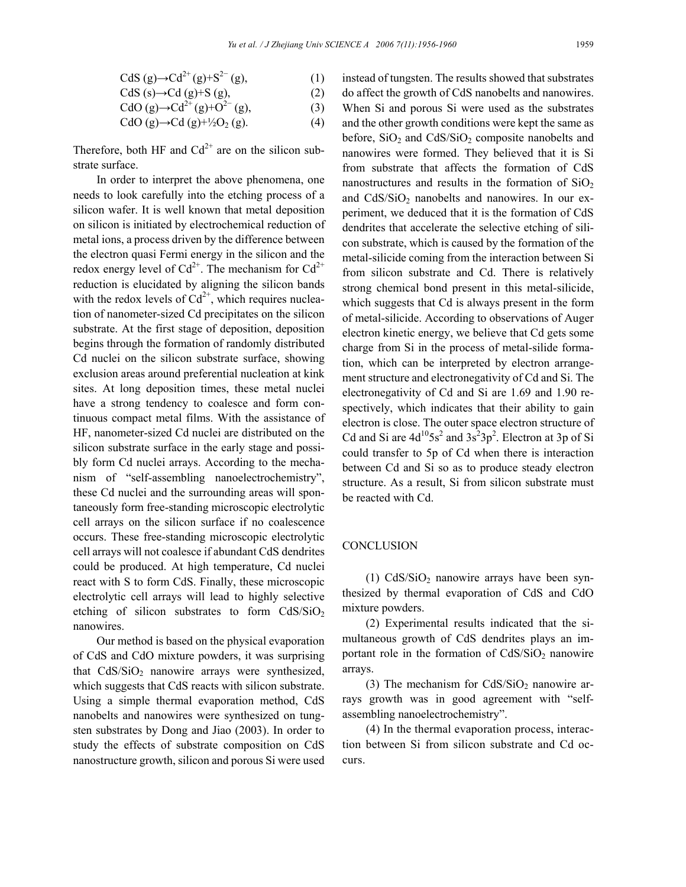\n
$$
\text{CdS}(g) \rightarrow \text{Cd}^{2+}(g) + \text{S}^{2-}(g),
$$
\n

\n\n $\text{CdS}(s) \rightarrow \text{Cd}(g) + \text{S}(g),$ \n

\n\n $\text{CdO}(g) \rightarrow \text{Cd}^{2+}(g) + \text{O}^{2-}(g),$ \n

\n\n $\text{CdO}(g) \rightarrow \text{Cd}(g) + \frac{1}{2}\text{O}_2(g).$ \n

\n\n $\text{(4)}$ \n

Therefore, both HF and  $Cd^{2+}$  are on the silicon substrate surface.

In order to interpret the above phenomena, one needs to look carefully into the etching process of a silicon wafer. It is well known that metal deposition on silicon is initiated by electrochemical reduction of metal ions, a process driven by the difference between the electron quasi Fermi energy in the silicon and the redox energy level of  $Cd^{2+}$ . The mechanism for  $Cd^{2+}$ reduction is elucidated by aligning the silicon bands with the redox levels of  $Cd^{2+}$ , which requires nucleation of nanometer-sized Cd precipitates on the silicon substrate. At the first stage of deposition, deposition begins through the formation of randomly distributed Cd nuclei on the silicon substrate surface, showing exclusion areas around preferential nucleation at kink sites. At long deposition times, these metal nuclei have a strong tendency to coalesce and form continuous compact metal films. With the assistance of HF, nanometer-sized Cd nuclei are distributed on the silicon substrate surface in the early stage and possibly form Cd nuclei arrays. According to the mechanism of "self-assembling nanoelectrochemistry", these Cd nuclei and the surrounding areas will spontaneously form free-standing microscopic electrolytic cell arrays on the silicon surface if no coalescence occurs. These free-standing microscopic electrolytic cell arrays will not coalesce if abundant CdS dendrites could be produced. At high temperature, Cd nuclei react with S to form CdS. Finally, these microscopic electrolytic cell arrays will lead to highly selective etching of silicon substrates to form  $CdS/SiO<sub>2</sub>$ nanowires.

Our method is based on the physical evaporation of CdS and CdO mixture powders, it was surprising that  $CdS/SiO<sub>2</sub>$  nanowire arrays were synthesized, which suggests that CdS reacts with silicon substrate. Using a simple thermal evaporation method, CdS nanobelts and nanowires were synthesized on tungsten substrates by Dong and Jiao (2003). In order to study the effects of substrate composition on CdS nanostructure growth, silicon and porous Si were used instead of tungsten. The results showed that substrates do affect the growth of CdS nanobelts and nanowires. When Si and porous Si were used as the substrates and the other growth conditions were kept the same as before,  $SiO<sub>2</sub>$  and  $CdS/SiO<sub>2</sub>$  composite nanobelts and nanowires were formed. They believed that it is Si from substrate that affects the formation of CdS nanostructures and results in the formation of  $SiO<sub>2</sub>$ and  $CdS/SiO<sub>2</sub>$  nanobelts and nanowires. In our experiment, we deduced that it is the formation of CdS dendrites that accelerate the selective etching of silicon substrate, which is caused by the formation of the metal-silicide coming from the interaction between Si from silicon substrate and Cd. There is relatively strong chemical bond present in this metal-silicide, which suggests that Cd is always present in the form of metal-silicide. According to observations of Auger electron kinetic energy, we believe that Cd gets some charge from Si in the process of metal-silide formation, which can be interpreted by electron arrangement structure and electronegativity of Cd and Si. The electronegativity of Cd and Si are 1.69 and 1.90 respectively, which indicates that their ability to gain electron is close. The outer space electron structure of Cd and Si are  $4d^{10}5s^2$  and  $3s^23p^2$ . Electron at 3p of Si could transfer to 5p of Cd when there is interaction between Cd and Si so as to produce steady electron structure. As a result, Si from silicon substrate must be reacted with Cd.

# **CONCLUSION**

(1)  $CdS/SiO<sub>2</sub>$  nanowire arrays have been synthesized by thermal evaporation of CdS and CdO mixture powders.

(2) Experimental results indicated that the simultaneous growth of CdS dendrites plays an important role in the formation of  $CdS/SiO<sub>2</sub>$  nanowire arrays.

(3) The mechanism for  $CdS/SiO<sub>2</sub>$  nanowire arrays growth was in good agreement with "selfassembling nanoelectrochemistry".

(4) In the thermal evaporation process, interaction between Si from silicon substrate and Cd occurs.